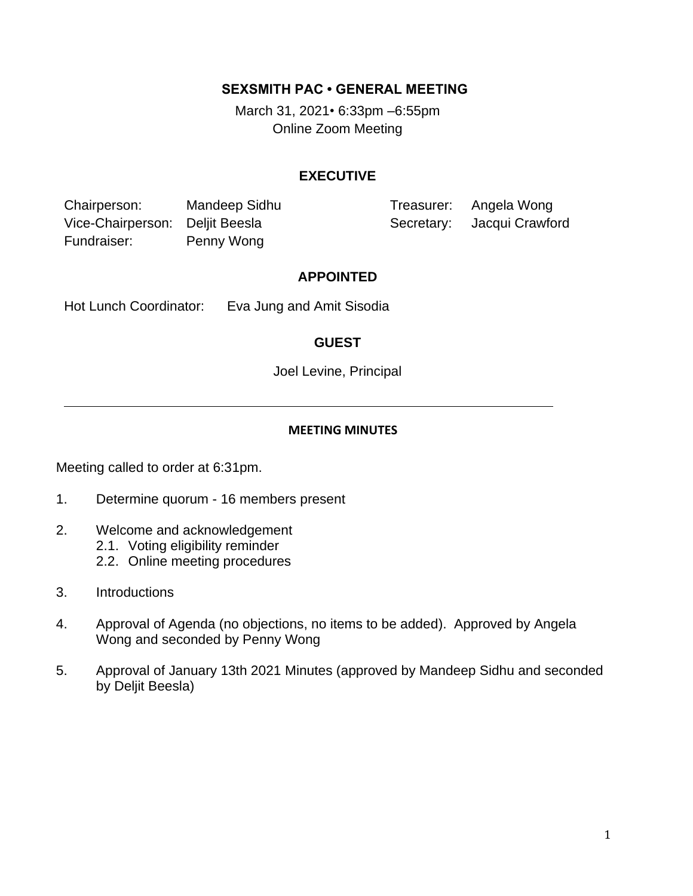### **SEXSMITH PAC • GENERAL MEETING**

March 31, 2021*•* 6:33pm –6:55pm Online Zoom Meeting

## **EXECUTIVE**

Chairperson: Mandeep Sidhu Treasurer: Angela Wong Vice-Chairperson: Deljit Beesla Secretary: Jacqui Crawford Fundraiser: Penny Wong

#### **APPOINTED**

Hot Lunch Coordinator: Eva Jung and Amit Sisodia

## **GUEST**

Joel Levine, Principal

#### **MEETING MINUTES**

Meeting called to order at 6:31pm.

- 1. Determine quorum 16 members present
- 2. Welcome and acknowledgement
	- 2.1. Voting eligibility reminder
	- 2.2. Online meeting procedures
- 3. Introductions
- 4. Approval of Agenda (no objections, no items to be added). Approved by Angela Wong and seconded by Penny Wong
- 5. Approval of January 13th 2021 Minutes (approved by Mandeep Sidhu and seconded by Deljit Beesla)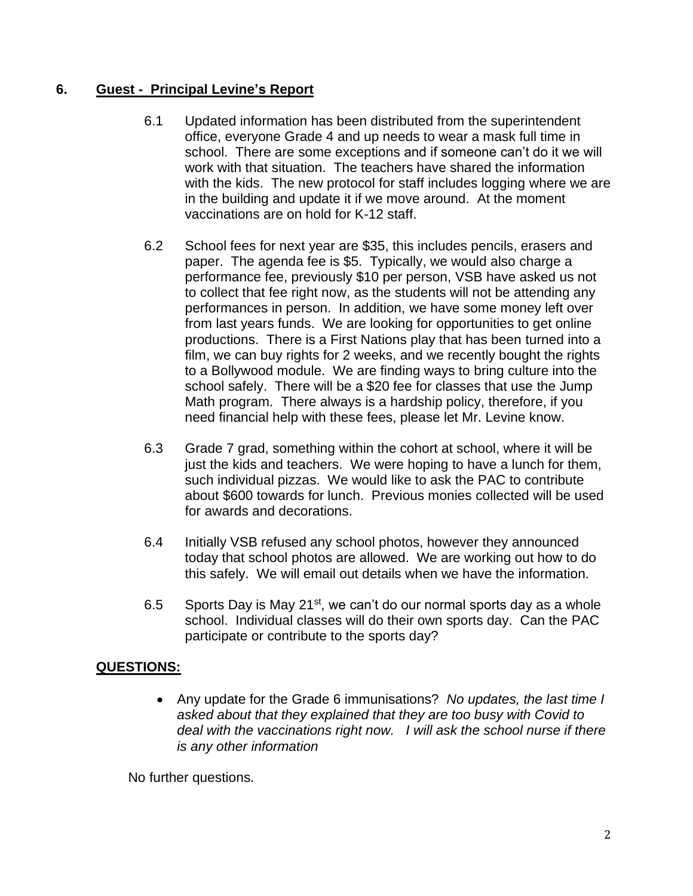# **6. Guest - Principal Levine's Report**

- 6.1 Updated information has been distributed from the superintendent office, everyone Grade 4 and up needs to wear a mask full time in school. There are some exceptions and if someone can't do it we will work with that situation. The teachers have shared the information with the kids. The new protocol for staff includes logging where we are in the building and update it if we move around. At the moment vaccinations are on hold for K-12 staff.
- 6.2 School fees for next year are \$35, this includes pencils, erasers and paper. The agenda fee is \$5. Typically, we would also charge a performance fee, previously \$10 per person, VSB have asked us not to collect that fee right now, as the students will not be attending any performances in person. In addition, we have some money left over from last years funds. We are looking for opportunities to get online productions. There is a First Nations play that has been turned into a film, we can buy rights for 2 weeks, and we recently bought the rights to a Bollywood module. We are finding ways to bring culture into the school safely. There will be a \$20 fee for classes that use the Jump Math program. There always is a hardship policy, therefore, if you need financial help with these fees, please let Mr. Levine know.
- 6.3 Grade 7 grad, something within the cohort at school, where it will be just the kids and teachers. We were hoping to have a lunch for them, such individual pizzas. We would like to ask the PAC to contribute about \$600 towards for lunch. Previous monies collected will be used for awards and decorations.
- 6.4 Initially VSB refused any school photos, however they announced today that school photos are allowed. We are working out how to do this safely. We will email out details when we have the information.
- 6.5 Sports Day is May 21<sup>st</sup>, we can't do our normal sports day as a whole school. Individual classes will do their own sports day. Can the PAC participate or contribute to the sports day?

# **QUESTIONS:**

• Any update for the Grade 6 immunisations? *No updates, the last time I asked about that they explained that they are too busy with Covid to deal with the vaccinations right now. I will ask the school nurse if there is any other information* 

No further questions.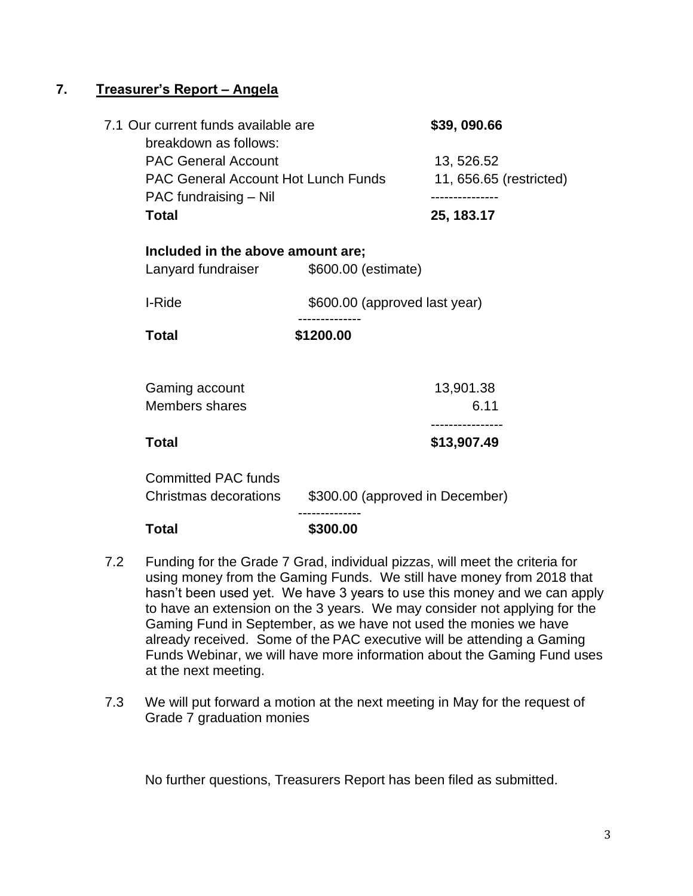## **7. Treasurer's Report – Angela**

| <b>Total</b>                                                                                      | \$300.00                        |                                       |
|---------------------------------------------------------------------------------------------------|---------------------------------|---------------------------------------|
| <b>Committed PAC funds</b><br>Christmas decorations                                               | \$300.00 (approved in December) |                                       |
| <b>Total</b>                                                                                      |                                 | \$13,907.49                           |
| Gaming account<br><b>Members shares</b>                                                           |                                 | 13,901.38<br>6.11                     |
| <b>Total</b>                                                                                      | \$1200.00                       |                                       |
| I-Ride                                                                                            | \$600.00 (approved last year)   |                                       |
| Included in the above amount are;<br>Lanyard fundraiser                                           | \$600.00 (estimate)             |                                       |
| PAC fundraising - Nil<br><b>Total</b>                                                             |                                 | 25, 183.17                            |
| breakdown as follows:<br><b>PAC General Account</b><br><b>PAC General Account Hot Lunch Funds</b> |                                 | 13, 526.52<br>11, 656.65 (restricted) |
| 7.1 Our current funds available are                                                               |                                 | \$39,090.66                           |

- 7.2 Funding for the Grade 7 Grad, individual pizzas, will meet the criteria for using money from the Gaming Funds. We still have money from 2018 that hasn't been used yet. We have 3 years to use this money and we can apply to have an extension on the 3 years. We may consider not applying for the Gaming Fund in September, as we have not used the monies we have already received. Some of the PAC executive will be attending a Gaming Funds Webinar, we will have more information about the Gaming Fund uses at the next meeting.
- 7.3 We will put forward a motion at the next meeting in May for the request of Grade 7 graduation monies

No further questions, Treasurers Report has been filed as submitted.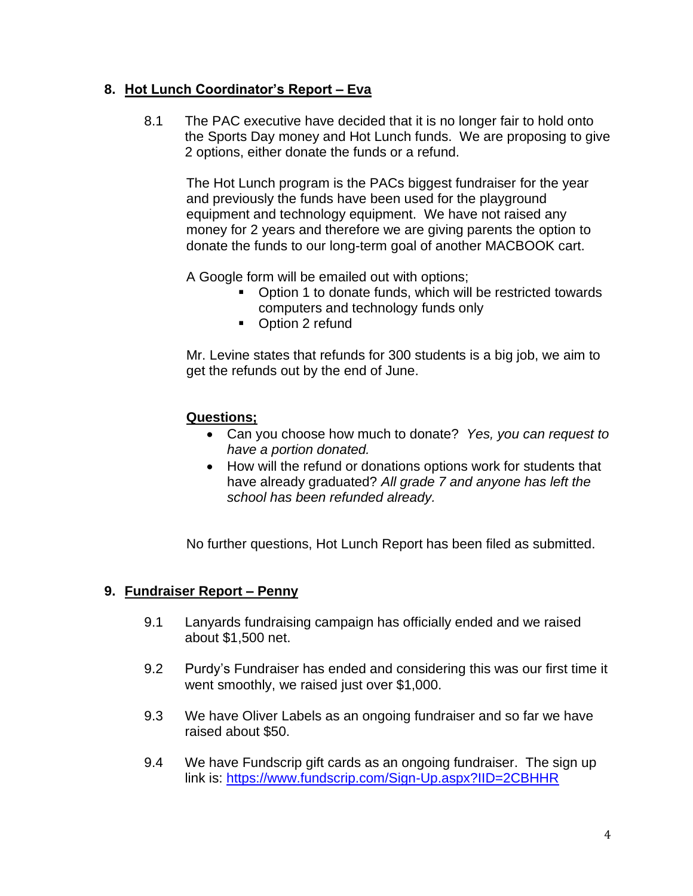## **8. Hot Lunch Coordinator's Report – Eva**

8.1 The PAC executive have decided that it is no longer fair to hold onto the Sports Day money and Hot Lunch funds. We are proposing to give 2 options, either donate the funds or a refund.

The Hot Lunch program is the PACs biggest fundraiser for the year and previously the funds have been used for the playground equipment and technology equipment. We have not raised any money for 2 years and therefore we are giving parents the option to donate the funds to our long-term goal of another MACBOOK cart.

A Google form will be emailed out with options;

- Option 1 to donate funds, which will be restricted towards computers and technology funds only
- Option 2 refund

Mr. Levine states that refunds for 300 students is a big job, we aim to get the refunds out by the end of June.

## **Questions;**

- Can you choose how much to donate? *Yes, you can request to have a portion donated.*
- How will the refund or donations options work for students that have already graduated? *All grade 7 and anyone has left the school has been refunded already.*

No further questions, Hot Lunch Report has been filed as submitted.

# **9. Fundraiser Report – Penny**

- 9.1 Lanyards fundraising campaign has officially ended and we raised about \$1,500 net.
- 9.2 Purdy's Fundraiser has ended and considering this was our first time it went smoothly, we raised just over \$1,000.
- 9.3 We have Oliver Labels as an ongoing fundraiser and so far we have raised about \$50.
- 9.4 We have Fundscrip gift cards as an ongoing fundraiser. The sign up link is:<https://www.fundscrip.com/Sign-Up.aspx?IID=2CBHHR>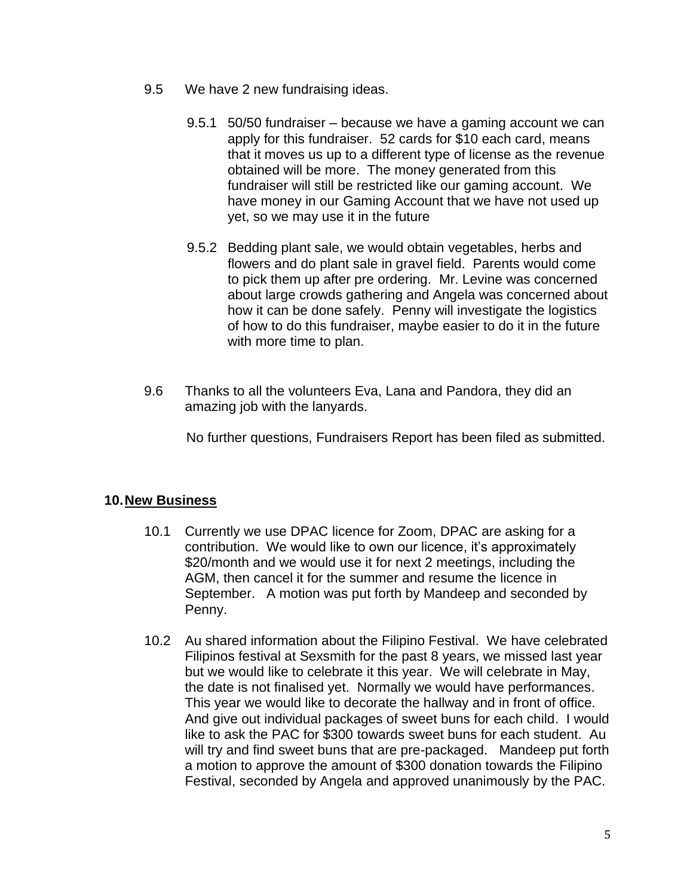- 9.5 We have 2 new fundraising ideas.
	- 9.5.1 50/50 fundraiser because we have a gaming account we can apply for this fundraiser. 52 cards for \$10 each card, means that it moves us up to a different type of license as the revenue obtained will be more. The money generated from this fundraiser will still be restricted like our gaming account. We have money in our Gaming Account that we have not used up yet, so we may use it in the future
	- 9.5.2 Bedding plant sale, we would obtain vegetables, herbs and flowers and do plant sale in gravel field. Parents would come to pick them up after pre ordering. Mr. Levine was concerned about large crowds gathering and Angela was concerned about how it can be done safely. Penny will investigate the logistics of how to do this fundraiser, maybe easier to do it in the future with more time to plan.
- 9.6 Thanks to all the volunteers Eva, Lana and Pandora, they did an amazing job with the lanyards.

No further questions, Fundraisers Report has been filed as submitted.

# **10.New Business**

- 10.1 Currently we use DPAC licence for Zoom, DPAC are asking for a contribution. We would like to own our licence, it's approximately \$20/month and we would use it for next 2 meetings, including the AGM, then cancel it for the summer and resume the licence in September. A motion was put forth by Mandeep and seconded by Penny.
- 10.2 Au shared information about the Filipino Festival. We have celebrated Filipinos festival at Sexsmith for the past 8 years, we missed last year but we would like to celebrate it this year. We will celebrate in May, the date is not finalised yet. Normally we would have performances. This year we would like to decorate the hallway and in front of office. And give out individual packages of sweet buns for each child. I would like to ask the PAC for \$300 towards sweet buns for each student. Au will try and find sweet buns that are pre-packaged. Mandeep put forth a motion to approve the amount of \$300 donation towards the Filipino Festival, seconded by Angela and approved unanimously by the PAC.